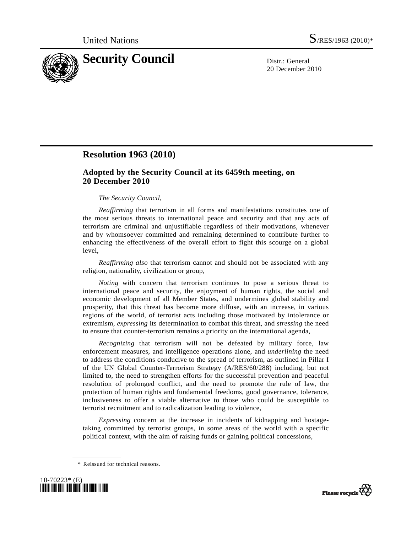

20 December 2010

## **Resolution 1963 (2010)**

## **Adopted by the Security Council at its 6459th meeting, on 20 December 2010**

## *The Security Council*,

*Reaffirming* that terrorism in all forms and manifestations constitutes one of the most serious threats to international peace and security and that any acts of terrorism are criminal and unjustifiable regardless of their motivations, whenever and by whomsoever committed and remaining determined to contribute further to enhancing the effectiveness of the overall effort to fight this scourge on a global level,

*Reaffirming also* that terrorism cannot and should not be associated with any religion, nationality, civilization or group,

*Noting* with concern that terrorism continues to pose a serious threat to international peace and security, the enjoyment of human rights, the social and economic development of all Member States, and undermines global stability and prosperity, that this threat has become more diffuse, with an increase, in various regions of the world, of terrorist acts including those motivated by intolerance or extremism, *expressing* its determination to combat this threat, and *stressing* the need to ensure that counter-terrorism remains a priority on the international agenda,

*Recognizing* that terrorism will not be defeated by military force, law enforcement measures, and intelligence operations alone, and *underlining* the need to address the conditions conducive to the spread of terrorism, as outlined in Pillar I of the UN Global Counter-Terrorism Strategy (A/RES/60/288) including, but not limited to, the need to strengthen efforts for the successful prevention and peaceful resolution of prolonged conflict, and the need to promote the rule of law, the protection of human rights and fundamental freedoms, good governance, tolerance, inclusiveness to offer a viable alternative to those who could be susceptible to terrorist recruitment and to radicalization leading to violence,

*Expressing* concern at the increase in incidents of kidnapping and hostagetaking committed by terrorist groups, in some areas of the world with a specific political context, with the aim of raising funds or gaining political concessions,

 <sup>\*</sup> Reissued for technical reasons.



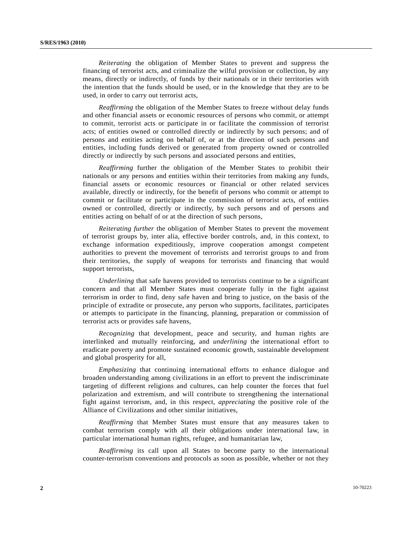*Reiterating* the obligation of Member States to prevent and suppress the financing of terrorist acts, and criminalize the wilful provision or collection, by any means, directly or indirectly, of funds by their nationals or in their territories with the intention that the funds should be used, or in the knowledge that they are to be used, in order to carry out terrorist acts,

*Reaffirming* the obligation of the Member States to freeze without delay funds and other financial assets or economic resources of persons who commit, or attempt to commit, terrorist acts or participate in or facilitate the commission of terrorist acts; of entities owned or controlled directly or indirectly by such persons; and of persons and entities acting on behalf of, or at the direction of such persons and entities, including funds derived or generated from property owned or controlled directly or indirectly by such persons and associated persons and entities,

*Reaffirming* further the obligation of the Member States to prohibit their nationals or any persons and entities within their territories from making any funds, financial assets or economic resources or financial or other related services available, directly or indirectly, for the benefit of persons who commit or attempt to commit or facilitate or participate in the commission of terrorist acts, of entities owned or controlled, directly or indirectly, by such persons and of persons and entities acting on behalf of or at the direction of such persons,

*Reiterating further* the obligation of Member States to prevent the movement of terrorist groups by, inter alia, effective border controls, and, in this context, to exchange information expeditiously, improve cooperation amongst competent authorities to prevent the movement of terrorists and terrorist groups to and from their territories, the supply of weapons for terrorists and financing that would support terrorists,

*Underlining* that safe havens provided to terrorists continue to be a significant concern and that all Member States must cooperate fully in the fight against terrorism in order to find, deny safe haven and bring to justice, on the basis of the principle of extradite or prosecute, any person who supports, facilitates, participates or attempts to participate in the financing, planning, preparation or commission of terrorist acts or provides safe havens,

*Recognizing* that development, peace and security, and human rights are interlinked and mutually reinforcing, and *underlining* the international effort to eradicate poverty and promote sustained economic growth, sustainable development and global prosperity for all,

*Emphasizing* that continuing international efforts to enhance dialogue and broaden understanding among civilizations in an effort to prevent the indiscriminate targeting of different religions and cultures, can help counter the forces that fuel polarization and extremism, and will contribute to strengthening the international fight against terrorism, and, in this respect, *appreciating* the positive role of the Alliance of Civilizations and other similar initiatives,

*Reaffirming* that Member States must ensure that any measures taken to combat terrorism comply with all their obligations under international law, in particular international human rights, refugee, and humanitarian law,

*Reaffirming* its call upon all States to become party to the international counter-terrorism conventions and protocols as soon as possible, whether or not they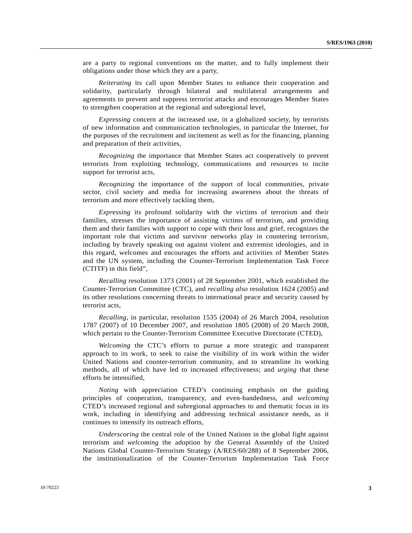are a party to regional conventions on the matter, and to fully implement their obligations under those which they are a party,

*Reiterating* its call upon Member States to enhance their cooperation and solidarity, particularly through bilateral and multilateral arrangements and agreements to prevent and suppress terrorist attacks and encourages Member States to strengthen cooperation at the regional and subregional level,

*Expressing* concern at the increased use, in a globalized society, by terrorists of new information and communication technologies, in particular the Internet, for the purposes of the recruitment and incitement as well as for the financing, planning and preparation of their activities,

*Recognizing* the importance that Member States act cooperatively to prevent terrorists from exploiting technology, communications and resources to incite support for terrorist acts,

*Recognizing* the importance of the support of local communities, private sector, civil society and media for increasing awareness about the threats of terrorism and more effectively tackling them,

*Expressing* its profound solidarity with the victims of terrorism and their families, stresses the importance of assisting victims of terrorism, and providing them and their families with support to cope with their loss and grief, recognizes the important role that victims and survivor networks play in countering terrorism, including by bravely speaking out against violent and extremist ideologies, and in this regard, welcomes and encourages the efforts and activities of Member States and the UN system, including the Counter-Terrorism Implementation Task Force (CTITF) in this field",

*Recalling* resolution 1373 (2001) of 28 September 2001, which established the Counter-Terrorism Committee (CTC), and *recalling also* resolution 1624 (2005) and its other resolutions concerning threats to international peace and security caused by terrorist acts,

*Recalling*, in particular, resolution 1535 (2004) of 26 March 2004, resolution 1787 (2007) of 10 December 2007, and resolution 1805 (2008) of 20 March 2008, which pertain to the Counter-Terrorism Committee Executive Directorate (CTED),

*Welcoming* the CTC's efforts to pursue a more strategic and transparent approach to its work, to seek to raise the visibility of its work within the wider United Nations and counter-terrorism community, and to streamline its working methods, all of which have led to increased effectiveness; and *urging* that these efforts be intensified,

*Noting* with appreciation CTED's continuing emphasis on the guiding principles of cooperation, transparency, and even-handedness, and *welcoming* CTED's increased regional and subregional approaches to and thematic focus in its work, including in identifying and addressing technical assistance needs, as it continues to intensify its outreach efforts,

*Underscoring* the central role of the United Nations in the global fight against terrorism and *welcoming* the adoption by the General Assembly of the United Nations Global Counter-Terrorism Strategy (A/RES/60/288) of 8 September 2006, the institutionalization of the Counter-Terrorism Implementation Task Force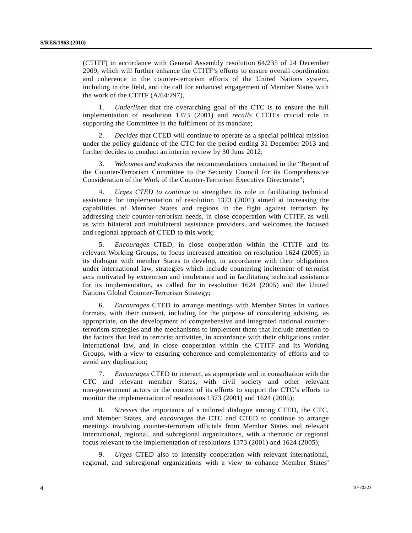(CTITF) in accordance with General Assembly resolution 64/235 of 24 December 2009, which will further enhance the CTITF's efforts to ensure overall coordination and coherence in the counter-terrorism efforts of the United Nations system, including in the field, and the call for enhanced engagement of Member States with the work of the CTITF (A/64/297),

 1. *Underlines* that the overarching goal of the CTC is to ensure the full implementation of resolution 1373 (2001) and *recalls* CTED's crucial role in supporting the Committee in the fulfilment of its mandate;

 2. *Decides* that CTED will continue to operate as a special political mission under the policy guidance of the CTC for the period ending 31 December 2013 and further decides to conduct an interim review by 30 June 2012;

 3. *Welcomes and endorses* the recommendations contained in the "Report of the Counter-Terrorism Committee to the Security Council for its Comprehensive Consideration of the Work of the Counter-Terrorism Executive Directorate";

 4. *Urges CTED to continue* to strengthen its role in facilitating technical assistance for implementation of resolution 1373 (2001) aimed at increasing the capabilities of Member States and regions in the fight against terrorism by addressing their counter-terrorism needs, in close cooperation with CTITF, as well as with bilateral and multilateral assistance providers, and welcomes the focused and regional approach of CTED to this work;

 5. *Encourages* CTED, in close cooperation within the CTITF and its relevant Working Groups, to focus increased attention on resolution 1624 (2005) in its dialogue with member States to develop, in accordance with their obligations under international law, strategies which include countering incitement of terrorist acts motivated by extremism and intolerance and in facilitating technical assistance for its implementation, as called for in resolution 1624 (2005) and the United Nations Global Counter-Terrorism Strategy;

 6. *Encourages* CTED to arrange meetings with Member States in various formats, with their consent, including for the purpose of considering advising, as appropriate, on the development of comprehensive and integrated national counterterrorism strategies and the mechanisms to implement them that include attention to the factors that lead to terrorist activities, in accordance with their obligations under international law, and in close cooperation within the CTITF and its Working Groups, with a view to ensuring coherence and complementarity of efforts and to avoid any duplication;

 7. *Encourages* CTED to interact, as appropriate and in consultation with the CTC and relevant member States, with civil society and other relevant non-government actors in the context of its efforts to support the CTC's efforts to monitor the implementation of resolutions 1373 (2001) and 1624 (2005);

 8. *Stresses* the importance of a tailored dialogue among CTED, the CTC, and Member States, and *encourages* the CTC and CTED to continue to arrange meetings involving counter-terrorism officials from Member States and relevant international, regional, and subregional organizations, with a thematic or regional focus relevant to the implementation of resolutions 1373 (2001) and 1624 (2005);

 9. *Urges* CTED also to intensify cooperation with relevant international, regional, and subregional organizations with a view to enhance Member States'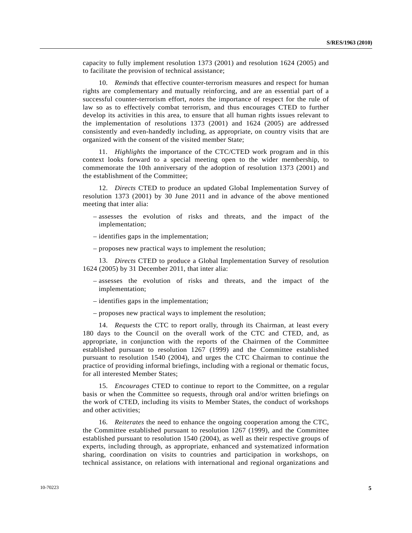capacity to fully implement resolution 1373 (2001) and resolution 1624 (2005) and to facilitate the provision of technical assistance;

 10. *Reminds* that effective counter-terrorism measures and respect for human rights are complementary and mutually reinforcing, and are an essential part of a successful counter-terrorism effort, *notes* the importance of respect for the rule of law so as to effectively combat terrorism, and thus encourages CTED to further develop its activities in this area, to ensure that all human rights issues relevant to the implementation of resolutions 1373 (2001) and 1624 (2005) are addressed consistently and even-handedly including, as appropriate, on country visits that are organized with the consent of the visited member State;

 11. *Highlights* the importance of the CTC/CTED work program and in this context looks forward to a special meeting open to the wider membership, to commemorate the 10th anniversary of the adoption of resolution 1373 (2001) and the establishment of the Committee;

 12. *Directs* CTED to produce an updated Global Implementation Survey of resolution 1373 (2001) by 30 June 2011 and in advance of the above mentioned meeting that inter alia:

- assesses the evolution of risks and threats, and the impact of the implementation;
- identifies gaps in the implementation;
- proposes new practical ways to implement the resolution;

 13. *Directs* CTED to produce a Global Implementation Survey of resolution 1624 (2005) by 31 December 2011, that inter alia:

- assesses the evolution of risks and threats, and the impact of the implementation;
- identifies gaps in the implementation;
- proposes new practical ways to implement the resolution;

 14. *Requests* the CTC to report orally, through its Chairman, at least every 180 days to the Council on the overall work of the CTC and CTED, and, as appropriate, in conjunction with the reports of the Chairmen of the Committee established pursuant to resolution 1267 (1999) and the Committee established pursuant to resolution 1540 (2004), and urges the CTC Chairman to continue the practice of providing informal briefings, including with a regional or thematic focus, for all interested Member States;

 15. *Encourages* CTED to continue to report to the Committee, on a regular basis or when the Committee so requests, through oral and/or written briefings on the work of CTED, including its visits to Member States, the conduct of workshops and other activities;

 16. *Reiterates* the need to enhance the ongoing cooperation among the CTC, the Committee established pursuant to resolution 1267 (1999), and the Committee established pursuant to resolution 1540 (2004), as well as their respective groups of experts, including through, as appropriate, enhanced and systematized information sharing, coordination on visits to countries and participation in workshops, on technical assistance, on relations with international and regional organizations and